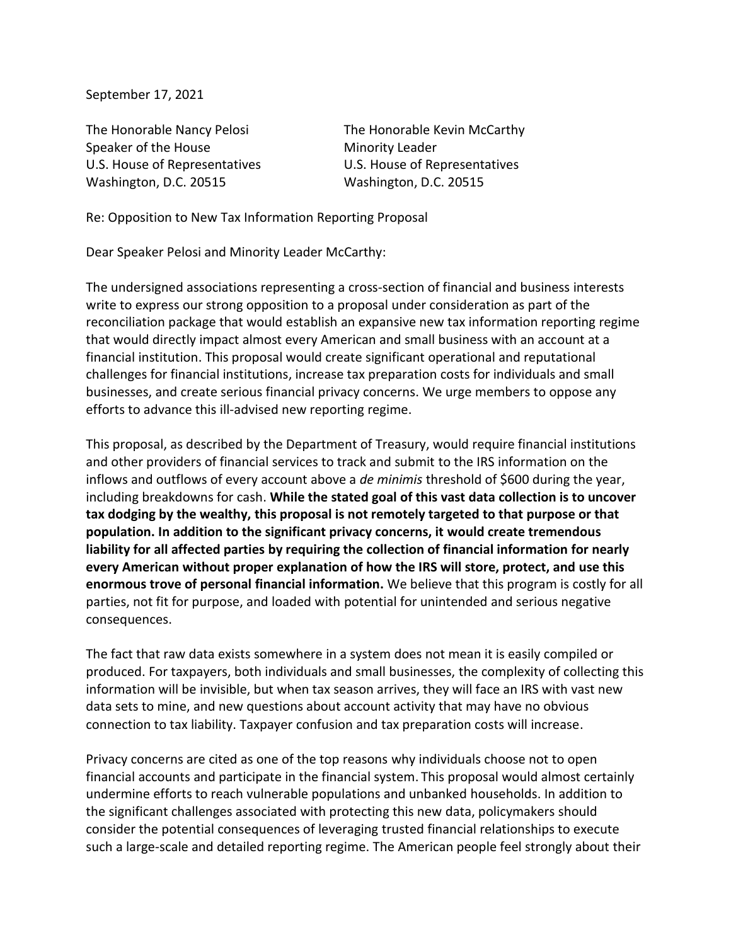September 17, 2021

Speaker of the House Minority Leader U.S. House of Representatives U.S. House of Representatives Washington, D.C. 20515 Washington, D.C. 20515

The Honorable Nancy Pelosi The Honorable Kevin McCarthy

Re: Opposition to New Tax Information Reporting Proposal

Dear Speaker Pelosi and Minority Leader McCarthy:

The undersigned associations representing a cross-section of financial and business interests write to express our strong opposition to a proposal under consideration as part of the reconciliation package that would establish an expansive new tax information reporting regime that would directly impact almost every American and small business with an account at a financial institution. This proposal would create significant operational and reputational challenges for financial institutions, increase tax preparation costs for individuals and small businesses, and create serious financial privacy concerns. We urge members to oppose any efforts to advance this ill-advised new reporting regime.

This proposal, as described by the Department of Treasury, would require financial institutions and other providers of financial services to track and submit to the IRS information on the inflows and outflows of every account above a *de minimis* threshold of \$600 during the year, including breakdowns for cash. **While the stated goal of this vast data collection is to uncover tax dodging by the wealthy, this proposal is not remotely targeted to that purpose or that population. In addition to the significant privacy concerns, it would create tremendous liability for all affected parties by requiring the collection of financial information for nearly every American without proper explanation of how the IRS will store, protect, and use this enormous trove of personal financial information.** We believe that this program is costly for all parties, not fit for purpose, and loaded with potential for unintended and serious negative consequences.

The fact that raw data exists somewhere in a system does not mean it is easily compiled or produced. For taxpayers, both individuals and small businesses, the complexity of collecting this information will be invisible, but when tax season arrives, they will face an IRS with vast new data sets to mine, and new questions about account activity that may have no obvious connection to tax liability. Taxpayer confusion and tax preparation costs will increase.

Privacy concerns are cited as one of the top reasons why individuals choose not to open financial accounts and participate in the financial system. This proposal would almost certainly undermine efforts to reach vulnerable populations and unbanked households. In addition to the significant challenges associated with protecting this new data, policymakers should consider the potential consequences of leveraging trusted financial relationships to execute such a large-scale and detailed reporting regime. The American people feel strongly about their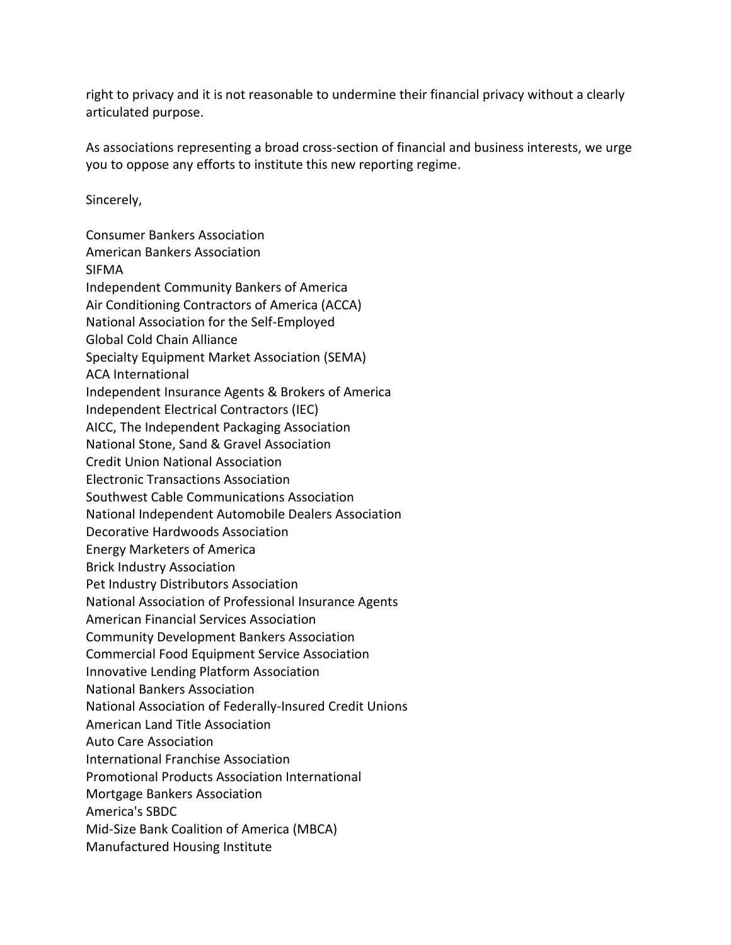right to privacy and it is not reasonable to undermine their financial privacy without a clearly articulated purpose.

As associations representing a broad cross-section of financial and business interests, we urge you to oppose any efforts to institute this new reporting regime.

Sincerely,

Consumer Bankers Association American Bankers Association SIFMA Independent Community Bankers of America Air Conditioning Contractors of America (ACCA) National Association for the Self-Employed Global Cold Chain Alliance Specialty Equipment Market Association (SEMA) ACA International Independent Insurance Agents & Brokers of America Independent Electrical Contractors (IEC) AICC, The Independent Packaging Association National Stone, Sand & Gravel Association Credit Union National Association Electronic Transactions Association Southwest Cable Communications Association National Independent Automobile Dealers Association Decorative Hardwoods Association Energy Marketers of America Brick Industry Association Pet Industry Distributors Association National Association of Professional Insurance Agents American Financial Services Association Community Development Bankers Association Commercial Food Equipment Service Association Innovative Lending Platform Association National Bankers Association National Association of Federally-Insured Credit Unions American Land Title Association Auto Care Association International Franchise Association Promotional Products Association International Mortgage Bankers Association America's SBDC Mid-Size Bank Coalition of America (MBCA) Manufactured Housing Institute